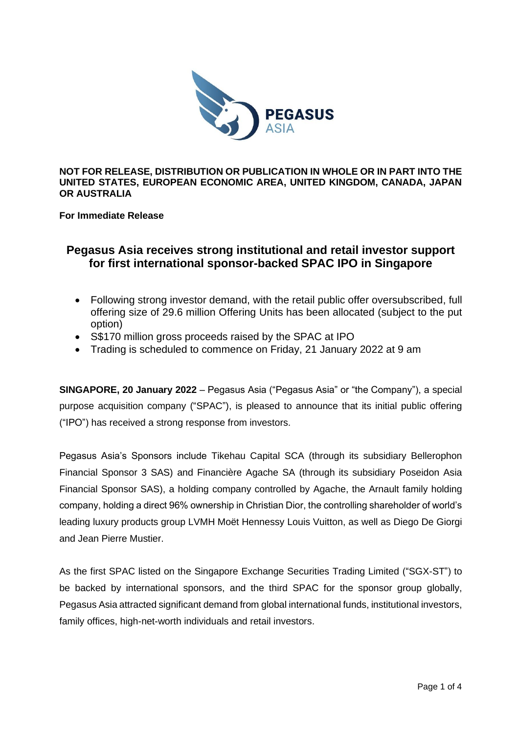

**NOT FOR RELEASE, DISTRIBUTION OR PUBLICATION IN WHOLE OR IN PART INTO THE UNITED STATES, EUROPEAN ECONOMIC AREA, UNITED KINGDOM, CANADA, JAPAN OR AUSTRALIA** 

**For Immediate Release**

# **Pegasus Asia receives strong institutional and retail investor support for first international sponsor-backed SPAC IPO in Singapore**

- Following strong investor demand, with the retail public offer oversubscribed, full offering size of 29.6 million Offering Units has been allocated (subject to the put option)
- S\$170 million gross proceeds raised by the SPAC at IPO
- Trading is scheduled to commence on Friday, 21 January 2022 at 9 am

**SINGAPORE, 20 January 2022** – Pegasus Asia ("Pegasus Asia" or "the Company"), a special purpose acquisition company ("SPAC"), is pleased to announce that its initial public offering ("IPO") has received a strong response from investors.

Pegasus Asia's Sponsors include Tikehau Capital SCA (through its subsidiary Bellerophon Financial Sponsor 3 SAS) and Financière Agache SA (through its subsidiary Poseidon Asia Financial Sponsor SAS), a holding company controlled by Agache, the Arnault family holding company, holding a direct 96% ownership in Christian Dior, the controlling shareholder of world's leading luxury products group LVMH Moët Hennessy Louis Vuitton, as well as Diego De Giorgi and Jean Pierre Mustier.

As the first SPAC listed on the Singapore Exchange Securities Trading Limited ("SGX-ST") to be backed by international sponsors, and the third SPAC for the sponsor group globally, Pegasus Asia attracted significant demand from global international funds, institutional investors, family offices, high-net-worth individuals and retail investors.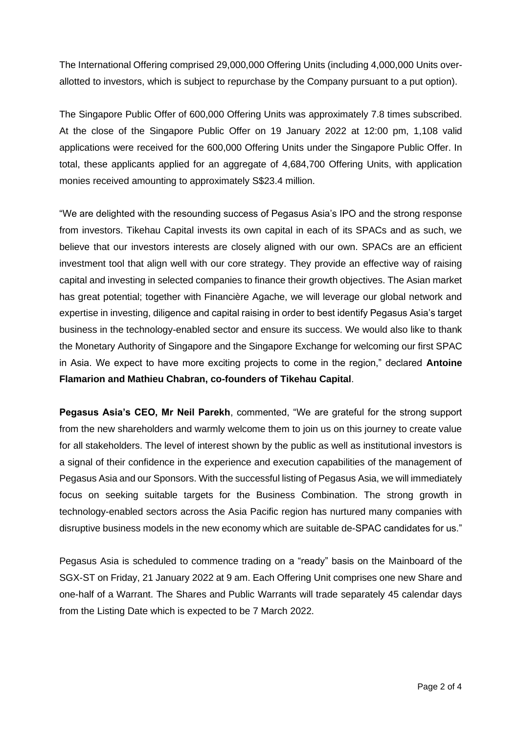The International Offering comprised 29,000,000 Offering Units (including 4,000,000 Units overallotted to investors, which is subject to repurchase by the Company pursuant to a put option).

The Singapore Public Offer of 600,000 Offering Units was approximately 7.8 times subscribed. At the close of the Singapore Public Offer on 19 January 2022 at 12:00 pm, 1,108 valid applications were received for the 600,000 Offering Units under the Singapore Public Offer. In total, these applicants applied for an aggregate of 4,684,700 Offering Units, with application monies received amounting to approximately S\$23.4 million.

"We are delighted with the resounding success of Pegasus Asia's IPO and the strong response from investors. Tikehau Capital invests its own capital in each of its SPACs and as such, we believe that our investors interests are closely aligned with our own. SPACs are an efficient investment tool that align well with our core strategy. They provide an effective way of raising capital and investing in selected companies to finance their growth objectives. The Asian market has great potential; together with Financière Agache, we will leverage our global network and expertise in investing, diligence and capital raising in order to best identify Pegasus Asia's target business in the technology-enabled sector and ensure its success. We would also like to thank the Monetary Authority of Singapore and the Singapore Exchange for welcoming our first SPAC in Asia. We expect to have more exciting projects to come in the region," declared **Antoine Flamarion and Mathieu Chabran, co-founders of Tikehau Capital**.

**Pegasus Asia's CEO, Mr Neil Parekh**, commented, "We are grateful for the strong support from the new shareholders and warmly welcome them to join us on this journey to create value for all stakeholders. The level of interest shown by the public as well as institutional investors is a signal of their confidence in the experience and execution capabilities of the management of Pegasus Asia and our Sponsors. With the successful listing of Pegasus Asia, we will immediately focus on seeking suitable targets for the Business Combination. The strong growth in technology-enabled sectors across the Asia Pacific region has nurtured many companies with disruptive business models in the new economy which are suitable de-SPAC candidates for us."

Pegasus Asia is scheduled to commence trading on a "ready" basis on the Mainboard of the SGX-ST on Friday, 21 January 2022 at 9 am. Each Offering Unit comprises one new Share and one-half of a Warrant. The Shares and Public Warrants will trade separately 45 calendar days from the Listing Date which is expected to be 7 March 2022.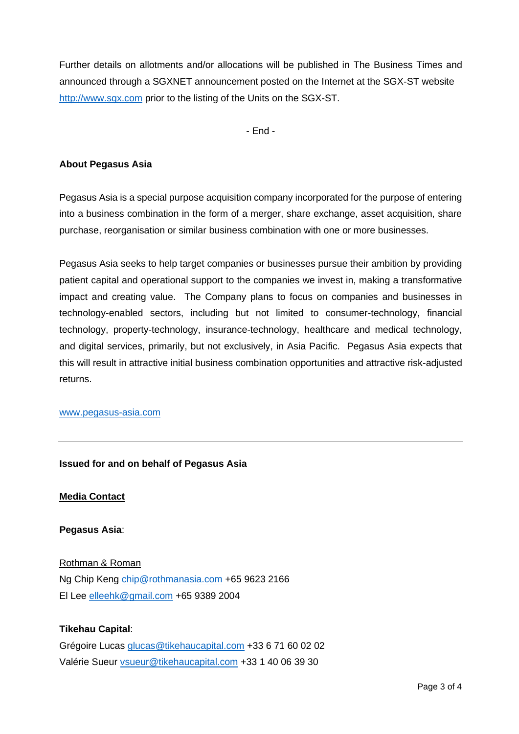Further details on allotments and/or allocations will be published in The Business Times and announced through a SGXNET announcement posted on the Internet at the SGX-ST website [http://www.sgx.com](http://www.sgx.com/) prior to the listing of the Units on the SGX-ST.

- End -

### **About Pegasus Asia**

Pegasus Asia is a special purpose acquisition company incorporated for the purpose of entering into a business combination in the form of a merger, share exchange, asset acquisition, share purchase, reorganisation or similar business combination with one or more businesses.

Pegasus Asia seeks to help target companies or businesses pursue their ambition by providing patient capital and operational support to the companies we invest in, making a transformative impact and creating value. The Company plans to focus on companies and businesses in technology-enabled sectors, including but not limited to consumer-technology, financial technology, property-technology, insurance-technology, healthcare and medical technology, and digital services, primarily, but not exclusively, in Asia Pacific. Pegasus Asia expects that this will result in attractive initial business combination opportunities and attractive risk-adjusted returns.

#### [www.pegasus-asia.com](http://www.pegasus-asia.com/)

#### **Issued for and on behalf of Pegasus Asia**

**Media Contact**

**Pegasus Asia**:

Rothman & Roman Ng Chip Keng [chip@rothmanasia.com](mailto:chip@rothmanasia.com) +65 9623 2166 El Lee [elleehk@gmail.com](mailto:elleehk@gmail.com) +65 9389 2004

#### **Tikehau Capital**:

Grégoire Lucas [glucas@tikehaucapital.com](mailto:glucas@tikehaucapital.com) +33 6 71 60 02 02 Valérie Sueur [vsueur@tikehaucapital.com](mailto:vsueur@tikehaucapital.com) +33 1 40 06 39 30